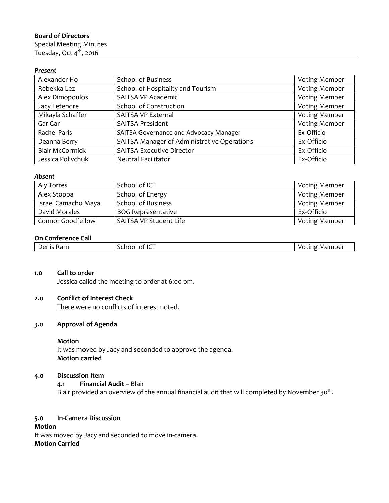## **Board of Directors**

Special Meeting Minutes Tuesday, Oct 4<sup>th</sup>, 2016

## *Present*

| Alexander Ho           | <b>School of Business</b>                   | Voting Member        |
|------------------------|---------------------------------------------|----------------------|
| Rebekka Lez            | School of Hospitality and Tourism           | <b>Voting Member</b> |
| Alex Dimopoulos        | <b>SAITSA VP Academic</b>                   | <b>Voting Member</b> |
| Jacy Letendre          | School of Construction                      | <b>Voting Member</b> |
| Mikayla Schaffer       | <b>SAITSA VP External</b>                   | <b>Voting Member</b> |
| Gar Gar                | <b>SAITSA President</b>                     | <b>Voting Member</b> |
| <b>Rachel Paris</b>    | SAITSA Governance and Advocacy Manager      | Ex-Officio           |
| Deanna Berry           | SAITSA Manager of Administrative Operations | Ex-Officio           |
| <b>Blair McCormick</b> | <b>SAITSA Executive Director</b>            | Ex-Officio           |
| Jessica Polivchuk      | <b>Neutral Facilitator</b>                  | Ex-Officio           |

### *Absent*

| Aly Torres          | School of ICT             | Voting Member        |
|---------------------|---------------------------|----------------------|
| Alex Stoppa         | School of Energy          | <b>Voting Member</b> |
| Israel Camacho Maya | <b>School of Business</b> | <b>Voting Member</b> |
| David Morales       | <b>BOG Representative</b> | Ex-Officio           |
| Connor Goodfellow   | SAITSA VP Student Life    | <b>Voting Member</b> |

## **On Conference Call**

| .<br>----<br>--<br>- 110<br>эсэн<br>н<br>$^{\circ}$ IC .<br>von<br>`` |        |               |
|-----------------------------------------------------------------------|--------|---------------|
| _____                                                                 | Member | Denis'<br>Kam |

## **1.0 Call to order**

Jessica called the meeting to order at 6:00 pm.

## **2.0 Conflict of Interest Check**

There were no conflicts of interest noted.

#### **3.0 Approval of Agenda**

#### **Motion**

It was moved by Jacy and seconded to approve the agenda. **Motion carried**

# **4.0 Discussion Item**

**4.1 Financial Audit** – Blair Blair provided an overview of the annual financial audit that will completed by November 30<sup>th</sup>.

### **5.0 In-Camera Discussion**

**Motion** It was moved by Jacy and seconded to move in-camera. **Motion Carried**